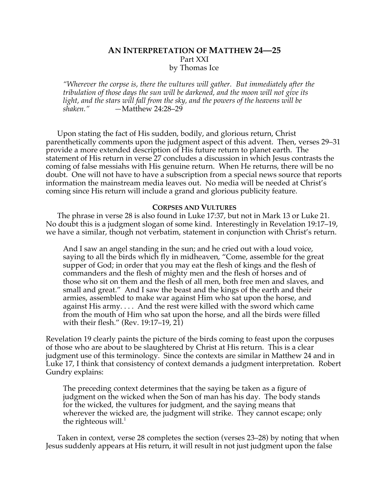# **AN INTERPRETATION OF MATTHEW 24—25** Part XXI by Thomas Ice

*"Wherever the corpse is, there the vultures will gather. But immediately after the tribulation of those days the sun will be darkened, and the moon will not give its light, and the stars will fall from the sky, and the powers of the heavens will be shaken." —*Matthew 24:28–29

Upon stating the fact of His sudden, bodily, and glorious return, Christ parenthetically comments upon the judgment aspect of this advent. Then, verses 29–31 provide a more extended description of His future return to planet earth. The statement of His return in verse 27 concludes a discussion in which Jesus contrasts the coming of false messiahs with His genuine return. When He returns, there will be no doubt. One will not have to have a subscription from a special news source that reports information the mainstream media leaves out. No media will be needed at Christ's coming since His return will include a grand and glorious publicity feature.

#### **CORPSES AND VULTURES**

The phrase in verse 28 is also found in Luke 17:37, but not in Mark 13 or Luke 21. No doubt this is a judgment slogan of some kind. Interestingly in Revelation 19:17–19, we have a similar, though not verbatim, statement in conjunction with Christ's return.

And I saw an angel standing in the sun; and he cried out with a loud voice, saying to all the birds which fly in midheaven, "Come, assemble for the great supper of God; in order that you may eat the flesh of kings and the flesh of commanders and the flesh of mighty men and the flesh of horses and of those who sit on them and the flesh of all men, both free men and slaves, and small and great." And I saw the beast and the kings of the earth and their armies, assembled to make war against Him who sat upon the horse, and against His army. . . . And the rest were killed with the sword which came from the mouth of Him who sat upon the horse, and all the birds were filled with their flesh." (Rev. 19:17–19, 21)

Revelation 19 clearly paints the picture of the birds coming to feast upon the corpuses of those who are about to be slaughtered by Christ at His return. This is a clear judgment use of this terminology. Since the contexts are similar in Matthew 24 and in Luke 17, I think that consistency of context demands a judgment interpretation. Robert Gundry explains:

The preceding context determines that the saying be taken as a figure of judgment on the wicked when the Son of man has his day. The body stands for the wicked, the vultures for judgment, and the saying means that wherever the wicked are, the judgment will strike. They cannot escape; only the righteous will. $<sup>1</sup>$ </sup>

Taken in context, verse 28 completes the section (verses 23–28) by noting that when Jesus suddenly appears at His return, it will result in not just judgment upon the false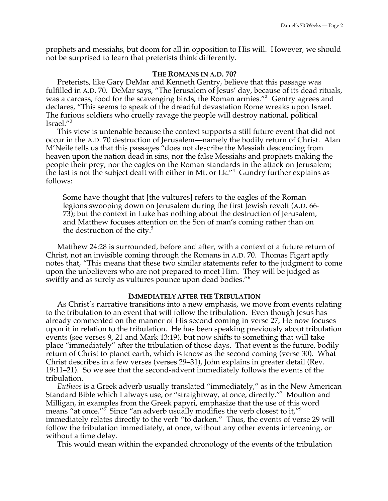prophets and messiahs, but doom for all in opposition to His will. However, we should not be surprised to learn that preterists think differently.

#### **THE ROMANS IN A.D. 70?**

Preterists, like Gary DeMar and Kenneth Gentry, believe that this passage was fulfilled in A.D. 70. DeMar says, "The Jerusalem of Jesus' day, because of its dead rituals, was a carcass, food for the scavenging birds, the Roman armies."<sup>2</sup> Gentry agrees and declares, "This seems to speak of the dreadful devastation Rome wreaks upon Israel. The furious soldiers who cruelly ravage the people will destroy national, political Israel."3

This view is untenable because the context supports a still future event that did not occur in the A.D. 70 destruction of Jerusalem—namely the bodily return of Christ. Alan M'Neile tells us that this passages "does not describe the Messiah descending from heaven upon the nation dead in sins, nor the false Messiahs and prophets making the people their prey, nor the eagles on the Roman standards in the attack on Jerusalem; the last is not the subject dealt with either in Mt. or Lk."<sup>4</sup> Gundry further explains as follows:

Some have thought that [the vultures] refers to the eagles of the Roman legions swooping down on Jerusalem during the first Jewish revolt (A.D. 66- 73); but the context in Luke has nothing about the destruction of Jerusalem, and Matthew focuses attention on the Son of man's coming rather than on the destruction of the city. $5$ 

Matthew 24:28 is surrounded, before and after, with a context of a future return of Christ, not an invisible coming through the Romans in A.D. 70. Thomas Figart aptly notes that, "This means that these two similar statements refer to the judgment to come upon the unbelievers who are not prepared to meet Him. They will be judged as swiftly and as surely as vultures pounce upon dead bodies."6

### **IMMEDIATELY AFTER THE TRIBULATION**

As Christ's narrative transitions into a new emphasis, we move from events relating to the tribulation to an event that will follow the tribulation. Even though Jesus has already commented on the manner of His second coming in verse 27, He now focuses upon it in relation to the tribulation. He has been speaking previously about tribulation events (see verses 9, 21 and Mark 13:19), but now shifts to something that will take place "immediately" after the tribulation of those days. That event is the future, bodily return of Christ to planet earth, which is know as the second coming (verse 30). What Christ describes in a few verses (verses 29–31), John explains in greater detail (Rev. 19:11–21). So we see that the second-advent immediately follows the events of the tribulation.

*Eutheos* is a Greek adverb usually translated "immediately," as in the New American Standard Bible which I always use, or "straightway, at once, directly."7 Moulton and Milligan, in examples from the Greek papyri, emphasize that the use of this word means "at once."<sup>8</sup> Since "an adverb usually modifies the verb closest to it,"<sup>9</sup> immediately relates directly to the verb "to darken." Thus, the events of verse 29 will follow the tribulation immediately, at once, without any other events intervening, or without a time delay.

This would mean within the expanded chronology of the events of the tribulation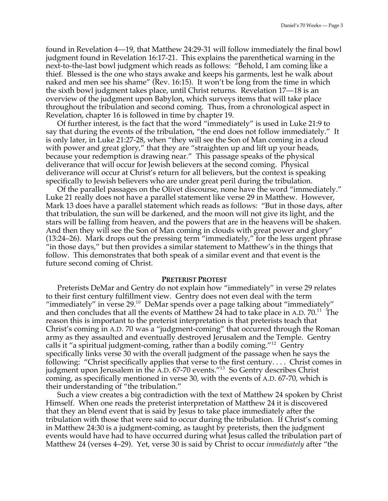found in Revelation 4—19, that Matthew 24:29-31 will follow immediately the final bowl judgment found in Revelation 16:17-21. This explains the parenthetical warning in the next-to-the-last bowl judgment which reads as follows: "Behold, I am coming like a thief. Blessed is the one who stays awake and keeps his garments, lest he walk about naked and men see his shame" (Rev. 16:15). It won't be long from the time in which the sixth bowl judgment takes place, until Christ returns. Revelation 17—18 is an overview of the judgment upon Babylon, which surveys items that will take place throughout the tribulation and second coming. Thus, from a chronological aspect in Revelation, chapter 16 is followed in time by chapter 19.

Of further interest, is the fact that the word "immediately" is used in Luke 21:9 to say that during the events of the tribulation, "the end does not follow immediately." It is only later, in Luke 21:27-28, when "they will see the Son of Man coming in a cloud with power and great glory," that they are "straighten up and lift up your heads, because your redemption is drawing near." This passage speaks of the physical deliverance that will occur for Jewish believers at the second coming. Physical deliverance will occur at Christ's return for all believers, but the context is speaking specifically to Jewish believers who are under great peril during the tribulation.

Of the parallel passages on the Olivet discourse, none have the word "immediately." Luke 21 really does not have a parallel statement like verse 29 in Matthew. However, Mark 13 does have a parallel statement which reads as follows: "But in those days, after that tribulation, the sun will be darkened, and the moon will not give its light, and the stars will be falling from heaven, and the powers that are in the heavens will be shaken. And then they will see the Son of Man coming in clouds with great power and glory" (13:24–26). Mark drops out the pressing term "immediately," for the less urgent phrase "in those days," but then provides a similar statement to Matthew's in the things that follow. This demonstrates that both speak of a similar event and that event is the future second coming of Christ.

#### **PRETERIST PROTEST**

Preterists DeMar and Gentry do not explain how "immediately" in verse 29 relates to their first century fulfillment view. Gentry does not even deal with the term "immediately" in verse  $29.^{10}$  DeMar spends over a page talking about "immediately" and then concludes that all the events of Matthew 24 had to take place in A.D.  $70.^{11}$  The reason this is important to the preterist interpretation is that preterists teach that Christ's coming in A.D. 70 was a "judgment-coming" that occurred through the Roman army as they assaulted and eventually destroyed Jerusalem and the Temple. Gentry calls it "a spiritual judgment-coming, rather than a bodily coming."<sup>12</sup> Gentry specifically links verse 30 with the overall judgment of the passage when he says the following: "Christ specifically applies that verse to the first century.... Christ comes in judgment upon Jerusalem in the A.D. 67-70 events."<sup>13</sup> So Gentry describes Christ coming, as specifically mentioned in verse 30, with the events of A.D. 67-70, which is their understanding of "the tribulation."

Such a view creates a big contradiction with the text of Matthew 24 spoken by Christ Himself. When one reads the preterist interpretation of Matthew 24 it is discovered that they an blend event that is said by Jesus to take place immediately after the tribulation with those that were said to occur during the tribulation. If Christ's coming in Matthew 24:30 is a judgment-coming, as taught by preterists, then the judgment events would have had to have occurred during what Jesus called the tribulation part of Matthew 24 (verses 4–29). Yet, verse 30 is said by Christ to occur *immediately* after "the